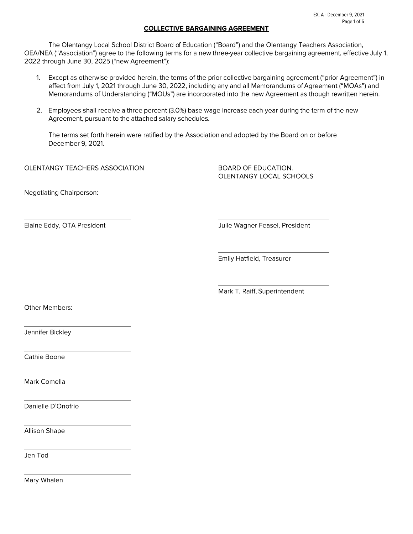#### **COLLECTIVE BARGAINING AGREEMENT**

The Olentangy Local School District Board of Education ("Board") and the Olentangy Teachers Association, OEA/NEA ("Association") agree to the following terms for a new three-year collective bargaining agreement, effective July 1, 2022 through June 30, 2025 ("new Agreement"):

- Except as otherwise provided herein, the terms of the prior collective bargaining agreement ("prior Agreement") in  $1<sub>1</sub>$ effect from July 1, 2021 through June 30, 2022, including any and all Memorandums of Agreement ("MOAs") and Memorandums of Understanding ("MOUs") are incorporated into the new Agreement as though rewritten herein.
- 2. Employees shall receive a three percent (3.0%) base wage increase each year during the term of the new Agreement, pursuant to the attached salary schedules.

The terms set forth herein were ratified by the Association and adopted by the Board on or before December 9, 2021.

OLENTANGY TEACHERS ASSOCIATION

**BOARD OF EDUCATION.** OLENTANGY LOCAL SCHOOLS

Negotiating Chairperson:

Elaine Eddy, OTA President

Julie Wagner Feasel, President

Emily Hatfield, Treasurer

Mark T. Raiff, Superintendent

Other Members:

Jennifer Bickley

Cathie Boone

Mark Comella

Danielle D'Onofrio

**Allison Shape** 

Jen Tod

Mary Whalen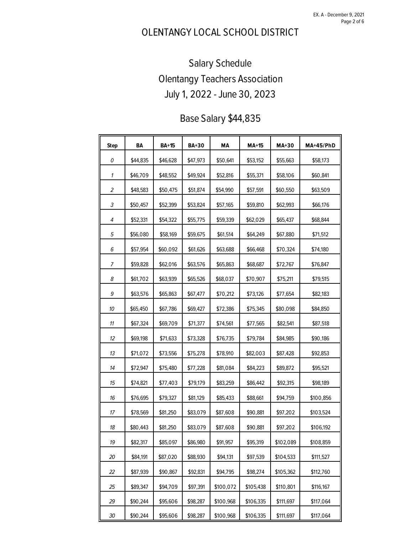EX. A - December 9, 2021 Page 2 of 6

## OLENTANGY LOCAL SCHOOL DISTRICT

# Salary Schedule Olentangy Teachers Association July 1, 2022 - June 30, 2023

## Base Salary \$44,835

| <b>Step</b>    | BA       | <b>BA+15</b> | <b>BA+30</b> | MА        | $MA+15$   | <b>MA+30</b> | MA+45/PhD |
|----------------|----------|--------------|--------------|-----------|-----------|--------------|-----------|
| 0              | \$44,835 | \$46,628     | \$47,973     | \$50,641  | \$53,152  | \$55,663     | \$58,173  |
| 1              | \$46,709 | \$48,552     | \$49,924     | \$52,816  | \$55,371  | \$58,106     | \$60,841  |
| $\overline{2}$ | \$48,583 | \$50,475     | \$51,874     | \$54,990  | \$57,591  | \$60,550     | \$63,509  |
| 3              | \$50,457 | \$52,399     | \$53,824     | \$57,165  | \$59,810  | \$62,993     | \$66,176  |
| 4              | \$52,331 | \$54,322     | \$55,775     | \$59,339  | \$62,029  | \$65,437     | \$68,844  |
| 5              | \$56,080 | \$58,169     | \$59,675     | \$61,514  | \$64,249  | \$67,880     | \$71,512  |
| 6              | \$57,954 | \$60,092     | \$61,626     | \$63,688  | \$66,468  | \$70,324     | \$74,180  |
| 7              | \$59,828 | \$62,016     | \$63,576     | \$65,863  | \$68,687  | \$72,767     | \$76,847  |
| 8              | \$61,702 | \$63,939     | \$65,526     | \$68,037  | \$70,907  | \$75,211     | \$79,515  |
| 9              | \$63,576 | \$65,863     | \$67,477     | \$70,212  | \$73,126  | \$77,654     | \$82,183  |
| 10             | \$65,450 | \$67,786     | \$69,427     | \$72,386  | \$75,345  | \$80,098     | \$84,850  |
| 11             | \$67,324 | \$69,709     | \$71,377     | \$74,561  | \$77,565  | \$82,541     | \$87,518  |
| 12             | \$69,198 | \$71,633     | \$73,328     | \$76,735  | \$79,784  | \$84,985     | \$90,186  |
| 13             | \$71,072 | \$73,556     | \$75,278     | \$78,910  | \$82,003  | \$87,428     | \$92,853  |
| 14             | \$72,947 | \$75,480     | \$77,228     | \$81,084  | \$84,223  | \$89,872     | \$95,521  |
| 15             | \$74,821 | \$77,403     | \$79,179     | \$83,259  | \$86,442  | \$92,315     | \$98,189  |
| 16             | \$76,695 | \$79,327     | \$81,129     | \$85,433  | \$88,661  | \$94,759     | \$100,856 |
| 17             | \$78,569 | \$81,250     | \$83,079     | \$87,608  | \$90,881  | \$97,202     | \$103,524 |
| 18             | \$80,443 | \$81,250     | \$83,079     | \$87,608  | \$90,881  | \$97,202     | \$106,192 |
| 19             | \$82,317 | \$85,097     | \$86,980     | \$91,957  | \$95,319  | \$102,089    | \$108,859 |
| 20             | \$84,191 | \$87,020     | \$88,930     | \$94,131  | \$97,539  | \$104,533    | \$111,527 |
| 22             | \$87,939 | \$90,867     | \$92,831     | \$94,795  | \$98,274  | \$105,362    | \$112,760 |
| 25             | \$89,347 | \$94,709     | \$97,391     | \$100,072 | \$105,438 | \$110,801    | \$116,167 |
| 29             | \$90,244 | \$95,606     | \$98,287     | \$100,968 | \$106,335 | \$111,697    | \$117,064 |
| 30             | \$90,244 | \$95,606     | \$98,287     | \$100,968 | \$106,335 | \$111,697    | \$117,064 |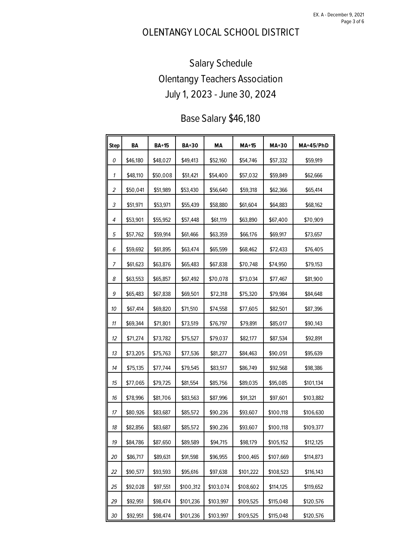EX. A - December 9, 2021 Page 3 of 6

## OLENTANGY LOCAL SCHOOL DISTRICT

# Salary Schedule Olentangy Teachers Association July 1, 2023 - June 30, 2024

## Base Salary \$46,180

| <b>Step</b> | BA       | <b>BA+15</b> | <b>BA+30</b> | MА        | MA+15     | MA+30     | <b>MA+45/PhD</b> |
|-------------|----------|--------------|--------------|-----------|-----------|-----------|------------------|
| 0           | \$46,180 | \$48,027     | \$49,413     | \$52,160  | \$54,746  | \$57,332  | \$59,919         |
| 1           | \$48,110 | \$50,008     | \$51,421     | \$54,400  | \$57,032  | \$59,849  | \$62,666         |
| 2           | \$50,041 | \$51,989     | \$53,430     | \$56,640  | \$59,318  | \$62,366  | \$65,414         |
| 3           | \$51,971 | \$53,971     | \$55,439     | \$58,880  | \$61,604  | \$64,883  | \$68,162         |
| 4           | \$53,901 | \$55,952     | \$57,448     | \$61,119  | \$63,890  | \$67,400  | \$70,909         |
| 5           | \$57,762 | \$59,914     | \$61,466     | \$63,359  | \$66,176  | \$69,917  | \$73,657         |
| 6           | \$59,692 | \$61,895     | \$63,474     | \$65,599  | \$68,462  | \$72,433  | \$76,405         |
| 7           | \$61,623 | \$63,876     | \$65,483     | \$67,838  | \$70,748  | \$74,950  | \$79,153         |
| 8           | \$63,553 | \$65,857     | \$67,492     | \$70,078  | \$73,034  | \$77,467  | \$81,900         |
| 9           | \$65,483 | \$67,838     | \$69,501     | \$72,318  | \$75,320  | \$79,984  | \$84,648         |
| 10          | \$67,414 | \$69,820     | \$71,510     | \$74,558  | \$77,605  | \$82,501  | \$87,396         |
| 11          | \$69,344 | \$71,801     | \$73,519     | \$76,797  | \$79,891  | \$85,017  | \$90,143         |
| 12          | \$71,274 | \$73,782     | \$75,527     | \$79,037  | \$82,177  | \$87,534  | \$92,891         |
| 13          | \$73,205 | \$75,763     | \$77,536     | \$81,277  | \$84,463  | \$90,051  | \$95,639         |
| 14          | \$75,135 | \$77,744     | \$79,545     | \$83,517  | \$86,749  | \$92,568  | \$98,386         |
| 15          | \$77,065 | \$79,725     | \$81,554     | \$85,756  | \$89,035  | \$95,085  | \$101,134        |
| 16          | \$78,996 | \$81,706     | \$83,563     | \$87,996  | \$91,321  | \$97,601  | \$103,882        |
| 17          | \$80,926 | \$83,687     | \$85,572     | \$90,236  | \$93,607  | \$100,118 | \$106,630        |
| 18          | \$82,856 | \$83,687     | \$85,572     | \$90,236  | \$93,607  | \$100,118 | \$109,377        |
| 19          | \$84,786 | \$87,650     | \$89,589     | \$94,715  | \$98,179  | \$105,152 | \$112,125        |
| 20          | \$86,717 | \$89,631     | \$91,598     | \$96,955  | \$100,465 | \$107,669 | \$114,873        |
| 22          | \$90,577 | \$93,593     | \$95,616     | \$97,638  | \$101,222 | \$108,523 | \$116,143        |
| 25          | \$92,028 | \$97,551     | \$100,312    | \$103,074 | \$108,602 | \$114,125 | \$119,652        |
| 29          | \$92,951 | \$98,474     | \$101,236    | \$103,997 | \$109,525 | \$115,048 | \$120,576        |
| 30          | \$92,951 | \$98,474     | \$101,236    | \$103,997 | \$109,525 | \$115,048 | \$120,576        |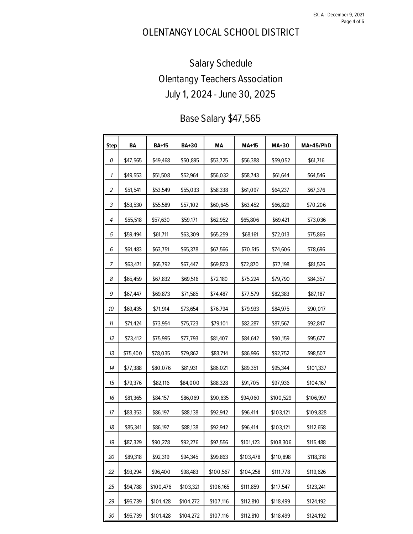EX. A - December 9, 2021 Page 4 of 6

## OLENTANGY LOCAL SCHOOL DISTRICT

# Salary Schedule Olentangy Teachers Association July 1, 2024 - June 30, 2025

#### Base Salary \$47,565

| <b>Step</b>    | BA       | <b>BA+15</b> | <b>BA+30</b> | MА        | $MA+15$   | <b>MA+30</b> | <b>MA+45/PhD</b> |
|----------------|----------|--------------|--------------|-----------|-----------|--------------|------------------|
| 0              | \$47,565 | \$49,468     | \$50,895     | \$53,725  | \$56,388  | \$59,052     | \$61,716         |
| 1              | \$49,553 | \$51,508     | \$52,964     | \$56,032  | \$58,743  | \$61,644     | \$64,546         |
| $\overline{a}$ | \$51,541 | \$53,549     | \$55,033     | \$58,338  | \$61,097  | \$64,237     | \$67,376         |
| 3              | \$53,530 | \$55,589     | \$57,102     | \$60,645  | \$63,452  | \$66,829     | \$70,206         |
| 4              | \$55,518 | \$57,630     | \$59,171     | \$62,952  | \$65,806  | \$69,421     | \$73,036         |
| 5              | \$59,494 | \$61,711     | \$63,309     | \$65,259  | \$68,161  | \$72,013     | \$75,866         |
| 6              | \$61,483 | \$63,751     | \$65,378     | \$67,566  | \$70,515  | \$74,606     | \$78,696         |
| 7              | \$63,471 | \$65,792     | \$67,447     | \$69,873  | \$72,870  | \$77,198     | \$81,526         |
| 8              | \$65,459 | \$67,832     | \$69,516     | \$72,180  | \$75,224  | \$79,790     | \$84,357         |
| 9              | \$67,447 | \$69,873     | \$71,585     | \$74,487  | \$77,579  | \$82,383     | \$87,187         |
| 10             | \$69,435 | \$71,914     | \$73,654     | \$76,794  | \$79,933  | \$84,975     | \$90,017         |
| 11             | \$71,424 | \$73,954     | \$75,723     | \$79,101  | \$82,287  | \$87,567     | \$92,847         |
| 12             | \$73,412 | \$75,995     | \$77,793     | \$81,407  | \$84,642  | \$90,159     | \$95,677         |
| 13             | \$75,400 | \$78,035     | \$79,862     | \$83,714  | \$86,996  | \$92,752     | \$98,507         |
| 14             | \$77,388 | \$80,076     | \$81,931     | \$86,021  | \$89,351  | \$95,344     | \$101,337        |
| 15             | \$79,376 | \$82,116     | \$84,000     | \$88,328  | \$91,705  | \$97,936     | \$104,167        |
| 16             | \$81,365 | \$84,157     | \$86,069     | \$90,635  | \$94,060  | \$100,529    | \$106,997        |
| 17             | \$83,353 | \$86,197     | \$88,138     | \$92,942  | \$96,414  | \$103,121    | \$109,828        |
| 18             | \$85,341 | \$86,197     | \$88,138     | \$92,942  | \$96,414  | \$103,121    | \$112,658        |
| 19             | \$87,329 | \$90,278     | \$92,276     | \$97,556  | \$101,123 | \$108,306    | \$115,488        |
| 20             | \$89,318 | \$92,319     | \$94,345     | \$99,863  | \$103,478 | \$110,898    | \$118,318        |
| 22             | \$93,294 | \$96,400     | \$98,483     | \$100,567 | \$104,258 | \$111,778    | \$119,626        |
| 25             | \$94,788 | \$100,476    | \$103,321    | \$106,165 | \$111,859 | \$117,547    | \$123,241        |
| 29             | \$95,739 | \$101,428    | \$104,272    | \$107,116 | \$112,810 | \$118,499    | \$124,192        |
| 30             | \$95,739 | \$101,428    | \$104,272    | \$107,116 | \$112,810 | \$118,499    | \$124,192        |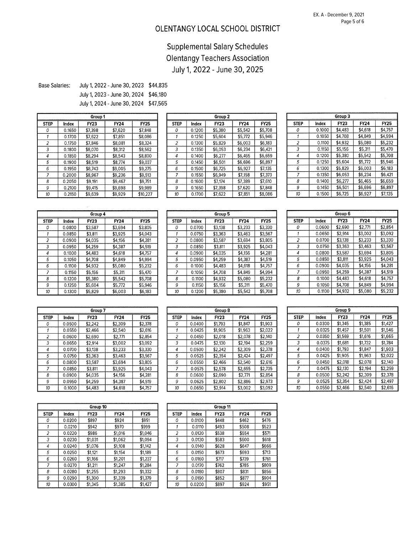#### OLENTANGY LOCAL SCHOOL DISTRICT

#### **Supplemental Salary Schedules Olentangy Teachers Association** July 1, 2022 - June 30, 2025

July 1, 2022 - June 30, 2023 \$44,835 **Base Salaries:** 

> July 1, 2023 - June 30, 2024 \$46,180 July 1, 2024 - June 30, 2024 \$47,565

|                |        | Group 1 |             |             |
|----------------|--------|---------|-------------|-------------|
| <b>STEP</b>    | Index  | FY23    | <b>FY24</b> | <b>FY25</b> |
| Ω              | 0.1650 | \$7.398 | \$7.620     | \$7,848     |
|                | 0.1700 | \$7,622 | \$7.851     | \$8,086     |
| $\overline{2}$ | 0.1750 | \$7.846 | \$8,081     | \$8.324     |
| 3              | 0.1800 | \$8.070 | \$8.312     | \$8,562     |
| 4              | 0.1850 | \$8,294 | \$8,543     | \$8.800     |
| 5              | 0.1900 | \$8.519 | \$8,774     | \$9.037     |
| 6              | 0.1950 | \$8,743 | \$9,005     | \$9,275     |
| 7              | 0.2000 | \$8,967 | \$9.236     | \$9.513     |
| 8              | 0.2050 | \$9.191 | \$9.467     | \$9,751     |
| 9              | 0.2100 | \$9,415 | \$9.698     | \$9.989     |
| 10             | 0.2150 | \$9,639 | \$9.929     | \$10,227    |

|             |        | Group 2 |         |             |
|-------------|--------|---------|---------|-------------|
| <b>STEP</b> | Index  | FY23    | FY24    | <b>FY25</b> |
|             | 0.1200 | \$5,380 | \$5,542 | \$5,708     |
|             | 0.1250 | \$5.604 | \$5,772 | \$5,946     |
| 2           | 0.1300 | \$5.829 | \$6,003 | \$6.183     |
| 3           | 0.1350 | \$6.053 | \$6.234 | \$6,421     |
| 4           | 0.1400 | \$6.277 | \$6.465 | \$6.659     |
| 5           | 0.1450 | \$6 501 | \$6.696 | \$6.897     |
| 6           | 0.1500 | \$6,725 | \$6,927 | \$7,135     |
| 7           | 0.1550 | \$6,949 | \$7,158 | \$7,373     |
| 8           | 0.1600 | \$7.174 | \$7.389 | \$7,610     |
| 9           | 0.1650 | \$7,398 | \$7,620 | \$7,848     |
| 10          | 0.1700 | \$7,622 | \$7,851 | \$8,086     |

|             | Group 3 |             |             |             |  |  |  |  |
|-------------|---------|-------------|-------------|-------------|--|--|--|--|
| <b>STEP</b> | Index   | <b>FY23</b> | <b>FY24</b> | <b>FY25</b> |  |  |  |  |
| Ο           | 0.1000  | \$4,483     | \$4,618     | \$4.757     |  |  |  |  |
| 1           | 0.1050  | \$4,708     | \$4,849     | \$4.994     |  |  |  |  |
| 2           | 0.1100  | \$4.932     | \$5,080     | \$5,232     |  |  |  |  |
| 3           | 0.1150  | \$5.156     | \$5.311     | \$5.470     |  |  |  |  |
| 4           | 0.1200  | \$5,380     | \$5.542     | \$5,708     |  |  |  |  |
| 5           | 0.1250  | \$5,604     | \$5,772     | \$5.946     |  |  |  |  |
| 6           | 0.1300  | \$5.829     | \$6.003     | \$6.183     |  |  |  |  |
| 7           | 0.1350  | \$6.053     | \$6.234     | \$6,421     |  |  |  |  |
| 8           | 0.1400  | \$6.277     | \$6,465     | \$6,659     |  |  |  |  |
| 9           | 0.1450  | \$6,501     | \$6.696     | \$6,897     |  |  |  |  |
| 10          | 0.1500  | \$6,725     | \$6.927     | \$7.135     |  |  |  |  |

|                |        | Group 4 |             |             |
|----------------|--------|---------|-------------|-------------|
| <b>STEP</b>    | Index  | FY23    | <b>FY24</b> | <b>FY25</b> |
| 0              | 0.0800 | \$3,587 | \$3,694     | \$3,805     |
|                | 0.0850 | \$3,811 | \$3,925     | \$4,043     |
| $\overline{a}$ | 0.0900 | \$4.035 | \$4.156     | \$4.281     |
| 3              | 0.0950 | \$4.259 | \$4,387     | \$4.519     |
| 4              | 0.1000 | \$4,483 | \$4,618     | \$4,757     |
| 5              | 0.1050 | \$4,708 | \$4.849     | \$4,994     |
| 6              | 0.1100 | \$4.932 | \$5,080     | \$5,232     |
| 7              | 0.1150 | \$5,156 | \$5,311     | \$5,470     |
| 8              | 0.1200 | \$5,380 | \$5.542     | \$5,708     |
| 9              | 0.1250 | \$5.604 | \$5,772     | \$5.946     |
| 10             | 0.1300 | \$5,829 | \$6,003     | \$6,183     |

|                |        | Group 5 |         |             |
|----------------|--------|---------|---------|-------------|
| <b>STEP</b>    | Index  | FY23    | FY24    | <b>FY25</b> |
| 0              | 0.0700 | \$3,138 | \$3,233 | \$3.330     |
|                | 0.0750 | \$3,363 | \$3,463 | \$3,567     |
| $\overline{a}$ | 0.0800 | \$3,587 | \$3,694 | \$3,805     |
| 3              | 0.0850 | \$3,811 | \$3,925 | \$4.043     |
| 4              | 0.0900 | \$4.035 | \$4,156 | \$4,281     |
| 5              | 0.0950 | \$4,259 | \$4.387 | \$4,519     |
| 6              | 0.1000 | \$4.483 | \$4,618 | \$4,757     |
| 7              | 0.1050 | \$4.708 | \$4.849 | \$4,994     |
| 8              | 0.1100 | \$4,932 | \$5.080 | \$5,232     |
| 9              | 0.1150 | \$5,156 | \$5,311 | \$5,470     |
| 10             | 0.1200 | \$5,380 | \$5,542 | \$5.708     |

| Group 6     |        |             |             |             |  |  |  |
|-------------|--------|-------------|-------------|-------------|--|--|--|
| <b>STEP</b> | Index  | <b>FY23</b> | <b>FY24</b> | <b>FY25</b> |  |  |  |
| Ω           | 0.0600 | \$2,690     | \$2,771     | \$2.854     |  |  |  |
|             | 0.0650 | \$2,914     | \$3.002     | \$3,092     |  |  |  |
| 2           | 0.0700 | \$3.138     | \$3,233     | \$3,330     |  |  |  |
| 3           | 0.0750 | \$3.363     | \$3.463     | \$3,567     |  |  |  |
| 4           | 0.0800 | \$3,587     | \$3,694     | \$3,805     |  |  |  |
| 5           | 0.0850 | \$3,811     | \$3,925     | \$4,043     |  |  |  |
| 6           | 0.0900 | \$4.035     | \$4.156     | \$4.281     |  |  |  |
| 7           | 0.0950 | \$4,259     | \$4.387     | \$4,519     |  |  |  |
| 8           | 0.1000 | \$4,483     | \$4,618     | \$4,757     |  |  |  |
| 9           | 0.1050 | \$4.708     | \$4.849     | \$4.994     |  |  |  |
| 10          | 0.1100 | \$4.932     | \$5,080     | \$5,232     |  |  |  |

|             | Group 7 |         |         |             |  |  |  |
|-------------|---------|---------|---------|-------------|--|--|--|
| <b>STEP</b> | Index   | FY23    | FY24    | <b>FY25</b> |  |  |  |
| υ           | 0.0500  | \$2,242 | \$2,309 | \$2,378     |  |  |  |
|             | 0.0550  | \$2,466 | \$2,540 | \$2,616     |  |  |  |
| 2           | 0.0600  | \$2.690 | \$2,771 | \$2.854     |  |  |  |
| 3           | 0.0650  | \$2.914 | \$3 002 | \$3.092     |  |  |  |
| 4           | 0.0700  | \$3.138 | \$3,233 | \$3,330     |  |  |  |
| 5           | 0.0750  | \$3,363 | \$3,463 | \$3.567     |  |  |  |
| 6           | 0.0800  | \$3,587 | \$3.694 | \$3.805     |  |  |  |
| 7           | 0.0850  | \$3,811 | \$3,925 | \$4,043     |  |  |  |
| 8           | 0.0900  | \$4.035 | \$4.156 | \$4,281     |  |  |  |
| 9           | 0.0950  | \$4,259 | \$4,387 | \$4,519     |  |  |  |
| 10          | 0.1000  | \$4,483 | \$4,618 | \$4,757     |  |  |  |

|             |        | Group 8 |             |             |
|-------------|--------|---------|-------------|-------------|
| <b>STEP</b> | Index  | FY23    | <b>FY24</b> | <b>FY25</b> |
| 0           | 0.0400 | \$1,793 | \$1.847     | \$1,903     |
|             | 0.0425 | \$1.905 | \$1,963     | \$2,022     |
| 2           | 0.0450 | \$2.018 | \$2,078     | \$2.140     |
| 3           | 0.0475 | \$2.130 | \$2.194     | \$2,259     |
| 4           | 0.0500 | \$2.242 | \$2.309     | \$2,378     |
| 5           | 0.0525 | \$2,354 | \$2,424     | \$2.497     |
| 6           | 0.0550 | \$2.466 | \$2.540     | \$2,616     |
| 7           | 0.0575 | \$2.578 | \$2,655     | \$2.735     |
| 8           | 0.0600 | \$2,690 | \$2,771     | \$2,854     |
| 9           | 0.0625 | \$2,802 | \$2,886     | \$2.973     |
| 10          | 0.0650 | \$2.914 | \$3.002     | \$3.092     |

|             |        | Group 9     |             |             |
|-------------|--------|-------------|-------------|-------------|
| <b>STEP</b> | Index  | <b>FY23</b> | <b>FY24</b> | <b>FY25</b> |
| Ω           | 0.0300 | \$1,345     | \$1,385     | \$1.427     |
|             | 0.0325 | \$1.457     | \$1.501     | \$1.546     |
| 2           | 0.0350 | \$1,569     | \$1,616     | \$1,665     |
| 3           | 0.0375 | \$1,681     | \$1.732     | \$1,784     |
| 4           | 0.0400 | \$1,793     | \$1.847     | \$1.903     |
| 5           | 0.0425 | \$1,905     | \$1,963     | \$2.022     |
| 6           | 0.0450 | \$2.018     | \$2.078     | \$2.140     |
| 7           | 0.0475 | \$2.130     | \$2.194     | \$2.259     |
| 8           | 0.0500 | \$2,242     | \$2,309     | \$2.378     |
| 9           | 0.0525 | \$2.354     | \$2,424     | \$2.497     |
| 10          | 0.0550 | \$2,466     | \$2,540     | \$2,616     |

| Group 10    |        |             |         |             |  |  |
|-------------|--------|-------------|---------|-------------|--|--|
| <b>STEP</b> | Index  | <b>FY23</b> | FY24    | <b>FY25</b> |  |  |
| 0           | 0.0200 | \$897       | \$924   | \$951       |  |  |
|             | 0.0210 | \$942       | \$970   | \$999       |  |  |
| 2           | 0.0220 | \$986       | \$1,016 | \$1,046     |  |  |
| 3           | 0.0230 | \$1.031     | \$1,062 | \$1,094     |  |  |
| 4           | 0.0240 | \$1,076     | \$1.108 | \$1,142     |  |  |
| 5           | 0.0250 | \$1.121     | \$1,154 | \$1,189     |  |  |
| 6           | 0.0260 | \$1.166     | \$1,201 | \$1,237     |  |  |
| 7           | 0.0270 | \$1,211     | \$1.247 | \$1,284     |  |  |
| 8           | 0.0280 | \$1,255     | \$1,293 | \$1,332     |  |  |
| 9           | 0.0290 | \$1,300     | \$1.339 | \$1,379     |  |  |
| 10          | 0.0300 | \$1.345     | \$1.385 | \$1.427     |  |  |

| Group 11    |        |             |       |             |  |  |
|-------------|--------|-------------|-------|-------------|--|--|
| <b>STEP</b> | Index  | <b>FY23</b> | FY24  | <b>FY25</b> |  |  |
| 0           | 0.0100 | \$448       | \$462 | \$476       |  |  |
|             | 0.0110 | \$493       | \$508 | \$523       |  |  |
| 2           | 0.0120 | \$538       | \$554 | \$571       |  |  |
| 3           | 0.0130 | \$583       | \$600 | \$618       |  |  |
| 4           | 0.0140 | \$628       | \$647 | \$666       |  |  |
| 5           | 0.0150 | \$673       | \$693 | \$713       |  |  |
| 6           | 0.0160 | \$717       | \$739 | \$761       |  |  |
| 7           | 0.0170 | \$762       | \$785 | \$809       |  |  |
| 8           | 0.0180 | \$807       | \$831 | \$856       |  |  |
| 9           | 0.0190 | \$852       | \$877 | \$904       |  |  |
| 10          | 0.0200 | \$897       | \$924 | \$951       |  |  |